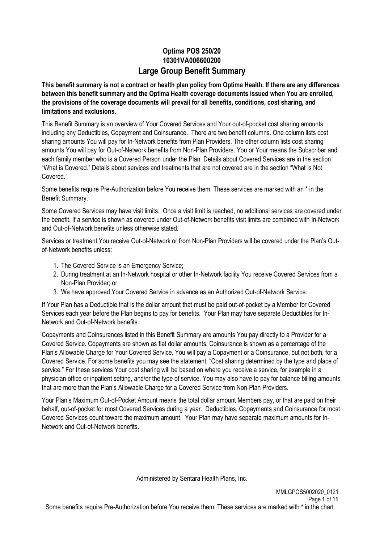## **Optima POS 250/20 10301VA006600200 Large Group Benefit Summary**

**This benefit summary is not a contract or health plan policy from Optima Health. If there are any differences between this benefit summary and the Optima Health coverage documents issued when You are enrolled, the provisions of the coverage documents will prevail for all benefits, conditions, cost sharing, and limitations and exclusions**.

This Benefit Summary is an overview of Your Covered Services and Your out-of-pocket cost sharing amounts including any Deductibles, Copayment and Coinsurance. There are two benefit columns. One column lists cost sharing amounts You will pay for In-Network benefits from Plan Providers. The other column lists cost sharing amounts You will pay for Out-of-Network benefits from Non-Plan Providers. You or Your means the Subscriber and each family member who is a Covered Person under the Plan. Details about Covered Services are in the section "What is Covered." Details about services and treatments that are not covered are in the section "What is Not Covered."

Some benefits require Pre-Authorization before You receive them. These services are marked with an \* in the Benefit Summary.

Some Covered Services may have visit limits. Once a visit limit is reached, no additional services are covered under the benefit. If a service is shown as covered under Out-of-Network benefits visit limits are combined with In-Network and Out-of-Network benefits unless otherwise stated.

Services or treatment You receive Out-of-Network or from Non-Plan Providers will be covered under the Plan's Outof-Network benefits unless:

- 1. The Covered Service is an Emergency Service;
- 2. During treatment at an In-Network hospital or other In-Network facility You receive Covered Services from a Non-Plan Provider; or
- 3. We have approved Your Covered Service in advance as an Authorized Out-of-Network Service.

If Your Plan has a Deductible that is the dollar amount that must be paid out-of-pocket by a Member for Covered Services each year before the Plan begins to pay for benefits. Your Plan may have separate Deductibles for In-Network and Out-of-Network benefits.

Copayments and Coinsurances listed in this Benefit Summary are amounts You pay directly to a Provider for a Covered Service. Copayments are shown as flat dollar amounts. Coinsurance is shown as a percentage of the Plan's Allowable Charge for Your Covered Service. You will pay a Copayment or a Coinsurance, but not both, for a Covered Service. For some benefits you may see the statement, "Cost sharing determined by the type and place of service." For these services Your cost sharing will be based on where you receive a service, for example in a physician office or inpatient setting, and/or the type of service. You may also have to pay for balance billing amounts that are more than the Plan's Allowable Charge for a Covered Service from Non-Plan Providers.

Your Plan's Maximum Out-of-Pocket Amount means the total dollar amount Members pay, or that are paid on their behalf, out-of-pocket for most Covered Services during a year. Deductibles, Copayments and Coinsurance for most Covered Services count toward the maximum amount. Your Plan may have separate maximum amounts for In-Network and Out-of-Network benefits.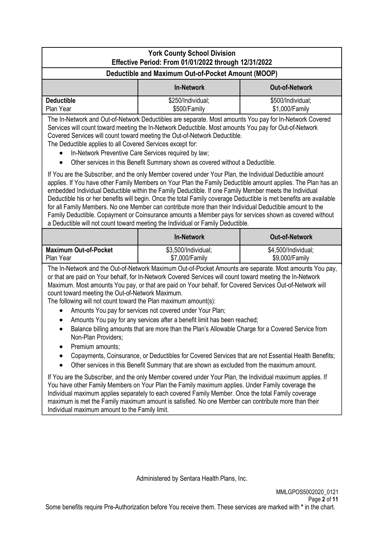| <b>York County School Division</b><br>Effective Period: From 01/01/2022 through 12/31/2022                                                                                                                                                                                                                                                                                                                                                                                                                                                                                                                                                                                                                                                                                                                                                                                                                                                                                                                                                                                                                                                                                                                                                                                 |                                                    |                                       |  |  |  |  |
|----------------------------------------------------------------------------------------------------------------------------------------------------------------------------------------------------------------------------------------------------------------------------------------------------------------------------------------------------------------------------------------------------------------------------------------------------------------------------------------------------------------------------------------------------------------------------------------------------------------------------------------------------------------------------------------------------------------------------------------------------------------------------------------------------------------------------------------------------------------------------------------------------------------------------------------------------------------------------------------------------------------------------------------------------------------------------------------------------------------------------------------------------------------------------------------------------------------------------------------------------------------------------|----------------------------------------------------|---------------------------------------|--|--|--|--|
|                                                                                                                                                                                                                                                                                                                                                                                                                                                                                                                                                                                                                                                                                                                                                                                                                                                                                                                                                                                                                                                                                                                                                                                                                                                                            | Deductible and Maximum Out-of-Pocket Amount (MOOP) |                                       |  |  |  |  |
| <b>In-Network</b><br><b>Out-of-Network</b>                                                                                                                                                                                                                                                                                                                                                                                                                                                                                                                                                                                                                                                                                                                                                                                                                                                                                                                                                                                                                                                                                                                                                                                                                                 |                                                    |                                       |  |  |  |  |
| <b>Deductible</b><br>\$250/Individual;<br>\$500/Individual;<br>Plan Year<br>\$1,000/Family<br>\$500/Family                                                                                                                                                                                                                                                                                                                                                                                                                                                                                                                                                                                                                                                                                                                                                                                                                                                                                                                                                                                                                                                                                                                                                                 |                                                    |                                       |  |  |  |  |
| The In-Network and Out-of-Network Deductibles are separate. Most amounts You pay for In-Network Covered<br>Services will count toward meeting the In-Network Deductible. Most amounts You pay for Out-of-Network<br>Covered Services will count toward meeting the Out-of-Network Deductible.<br>The Deductible applies to all Covered Services except for:<br>In-Network Preventive Care Services required by law;<br>Other services in this Benefit Summary shown as covered without a Deductible.<br>If You are the Subscriber, and the only Member covered under Your Plan, the Individual Deductible amount<br>applies. If You have other Family Members on Your Plan the Family Deductible amount applies. The Plan has an<br>embedded Individual Deductible within the Family Deductible. If one Family Member meets the Individual<br>Deductible his or her benefits will begin. Once the total Family coverage Deductible is met benefits are available<br>for all Family Members. No one Member can contribute more than their Individual Deductible amount to the<br>Family Deductible. Copayment or Coinsurance amounts a Member pays for services shown as covered without<br>a Deductible will not count toward meeting the Individual or Family Deductible. |                                                    |                                       |  |  |  |  |
|                                                                                                                                                                                                                                                                                                                                                                                                                                                                                                                                                                                                                                                                                                                                                                                                                                                                                                                                                                                                                                                                                                                                                                                                                                                                            | <b>In-Network</b>                                  | <b>Out-of-Network</b>                 |  |  |  |  |
| <b>Maximum Out-of-Pocket</b><br>Plan Year                                                                                                                                                                                                                                                                                                                                                                                                                                                                                                                                                                                                                                                                                                                                                                                                                                                                                                                                                                                                                                                                                                                                                                                                                                  | \$3,500/Individual;<br>\$7,000/Family              | \$4,500/Individual;<br>\$9,000/Family |  |  |  |  |
| The In-Network and the Out-of-Network Maximum Out-of-Pocket Amounts are separate. Most amounts You pay,<br>or that are paid on Your behalf, for In-Network Covered Services will count toward meeting the In-Network<br>Maximum. Most amounts You pay, or that are paid on Your behalf, for Covered Services Out-of-Network will<br>count toward meeting the Out-of-Network Maximum.<br>The following will not count toward the Plan maximum amount(s):<br>Amounts You pay for services not covered under Your Plan;<br>Amounts You pay for any services after a benefit limit has been reached;<br>Balance billing amounts that are more than the Plan's Allowable Charge for a Covered Service from<br>Non-Plan Providers;<br>Premium amounts;<br>Copayments, Coinsurance, or Deductibles for Covered Services that are not Essential Health Benefits;<br>Other services in this Benefit Summary that are shown as excluded from the maximum amount.<br>If You are the Subscriber, and the only Member covered under Your Plan, the Individual maximum applies. If                                                                                                                                                                                                       |                                                    |                                       |  |  |  |  |
|                                                                                                                                                                                                                                                                                                                                                                                                                                                                                                                                                                                                                                                                                                                                                                                                                                                                                                                                                                                                                                                                                                                                                                                                                                                                            |                                                    |                                       |  |  |  |  |

Individual maximum amount to the Family limit.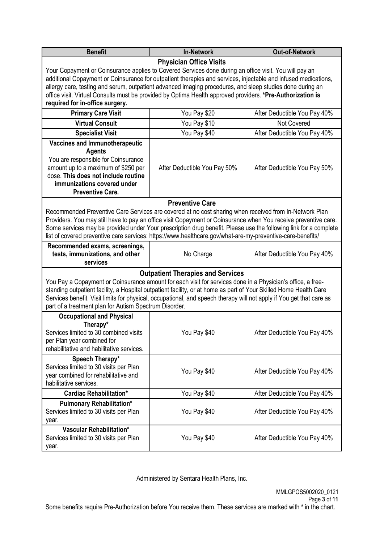| <b>Benefit</b>                                                                                                                                                                                                                                                                                                                                                                                                                                                 | <b>In-Network</b>              | <b>Out-of-Network</b>        |  |  |  |
|----------------------------------------------------------------------------------------------------------------------------------------------------------------------------------------------------------------------------------------------------------------------------------------------------------------------------------------------------------------------------------------------------------------------------------------------------------------|--------------------------------|------------------------------|--|--|--|
|                                                                                                                                                                                                                                                                                                                                                                                                                                                                | <b>Physician Office Visits</b> |                              |  |  |  |
| Your Copayment or Coinsurance applies to Covered Services done during an office visit. You will pay an<br>additional Copayment or Coinsurance for outpatient therapies and services, injectable and infused medications,                                                                                                                                                                                                                                       |                                |                              |  |  |  |
| allergy care, testing and serum, outpatient advanced imaging procedures, and sleep studies done during an                                                                                                                                                                                                                                                                                                                                                      |                                |                              |  |  |  |
| office visit. Virtual Consults must be provided by Optima Health approved providers. *Pre-Authorization is                                                                                                                                                                                                                                                                                                                                                     |                                |                              |  |  |  |
| required for in-office surgery.                                                                                                                                                                                                                                                                                                                                                                                                                                |                                |                              |  |  |  |
| <b>Primary Care Visit</b>                                                                                                                                                                                                                                                                                                                                                                                                                                      | You Pay \$20                   | After Deductible You Pay 40% |  |  |  |
| <b>Virtual Consult</b>                                                                                                                                                                                                                                                                                                                                                                                                                                         | You Pay \$10                   | Not Covered                  |  |  |  |
| <b>Specialist Visit</b>                                                                                                                                                                                                                                                                                                                                                                                                                                        | You Pay \$40                   | After Deductible You Pay 40% |  |  |  |
| <b>Vaccines and Immunotherapeutic</b><br><b>Agents</b><br>You are responsible for Coinsurance<br>amount up to a maximum of \$250 per<br>dose. This does not include routine<br>immunizations covered under<br><b>Preventive Care.</b>                                                                                                                                                                                                                          | After Deductible You Pay 50%   | After Deductible You Pay 50% |  |  |  |
|                                                                                                                                                                                                                                                                                                                                                                                                                                                                | <b>Preventive Care</b>         |                              |  |  |  |
| Recommended Preventive Care Services are covered at no cost sharing when received from In-Network Plan<br>Providers. You may still have to pay an office visit Copayment or Coinsurance when You receive preventive care.                                                                                                                                                                                                                                      |                                |                              |  |  |  |
| Some services may be provided under Your prescription drug benefit. Please use the following link for a complete<br>list of covered preventive care services: https://www.healthcare.gov/what-are-my-preventive-care-benefits/                                                                                                                                                                                                                                 |                                |                              |  |  |  |
| Recommended exams, screenings,                                                                                                                                                                                                                                                                                                                                                                                                                                 |                                |                              |  |  |  |
| tests, immunizations, and other<br>No Charge<br>After Deductible You Pay 40%<br>services                                                                                                                                                                                                                                                                                                                                                                       |                                |                              |  |  |  |
| <b>Outpatient Therapies and Services</b><br>You Pay a Copayment or Coinsurance amount for each visit for services done in a Physician's office, a free-<br>standing outpatient facility, a Hospital outpatient facility, or at home as part of Your Skilled Home Health Care<br>Services benefit. Visit limits for physical, occupational, and speech therapy will not apply if You get that care as<br>part of a treatment plan for Autism Spectrum Disorder. |                                |                              |  |  |  |
| <b>Occupational and Physical</b><br>Therapy*<br>Services limited to 30 combined visits<br>You Pay \$40<br>After Deductible You Pay 40%<br>per Plan year combined for<br>rehabilitative and habilitative services.                                                                                                                                                                                                                                              |                                |                              |  |  |  |
| Speech Therapy*<br>Services limited to 30 visits per Plan<br>You Pay \$40<br>After Deductible You Pay 40%<br>year combined for rehabilitative and<br>habilitative services.                                                                                                                                                                                                                                                                                    |                                |                              |  |  |  |
| <b>Cardiac Rehabilitation*</b>                                                                                                                                                                                                                                                                                                                                                                                                                                 | You Pay \$40                   | After Deductible You Pay 40% |  |  |  |
| <b>Pulmonary Rehabilitation*</b><br>Services limited to 30 visits per Plan<br>You Pay \$40<br>After Deductible You Pay 40%<br>year.                                                                                                                                                                                                                                                                                                                            |                                |                              |  |  |  |
| Vascular Rehabilitation*<br>Services limited to 30 visits per Plan<br>year.                                                                                                                                                                                                                                                                                                                                                                                    | You Pay \$40                   | After Deductible You Pay 40% |  |  |  |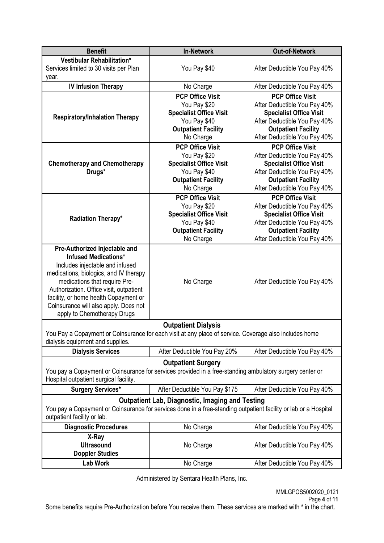| <b>Benefit</b>                                                                                                                                  | <b>In-Network</b>                                      | <b>Out-of-Network</b>          |  |  |
|-------------------------------------------------------------------------------------------------------------------------------------------------|--------------------------------------------------------|--------------------------------|--|--|
| Vestibular Rehabilitation*                                                                                                                      |                                                        | After Deductible You Pay 40%   |  |  |
| Services limited to 30 visits per Plan                                                                                                          | You Pay \$40                                           |                                |  |  |
| year.                                                                                                                                           |                                                        |                                |  |  |
| <b>IV Infusion Therapy</b>                                                                                                                      | No Charge                                              | After Deductible You Pay 40%   |  |  |
|                                                                                                                                                 | <b>PCP Office Visit</b>                                | <b>PCP Office Visit</b>        |  |  |
|                                                                                                                                                 | You Pay \$20                                           | After Deductible You Pay 40%   |  |  |
|                                                                                                                                                 | <b>Specialist Office Visit</b>                         | <b>Specialist Office Visit</b> |  |  |
| <b>Respiratory/Inhalation Therapy</b>                                                                                                           | You Pay \$40                                           | After Deductible You Pay 40%   |  |  |
|                                                                                                                                                 | <b>Outpatient Facility</b>                             | <b>Outpatient Facility</b>     |  |  |
|                                                                                                                                                 | No Charge                                              | After Deductible You Pay 40%   |  |  |
|                                                                                                                                                 | <b>PCP Office Visit</b>                                | <b>PCP Office Visit</b>        |  |  |
|                                                                                                                                                 | You Pay \$20                                           | After Deductible You Pay 40%   |  |  |
| <b>Chemotherapy and Chemotherapy</b>                                                                                                            | <b>Specialist Office Visit</b>                         | <b>Specialist Office Visit</b> |  |  |
| Drugs*                                                                                                                                          | You Pay \$40                                           | After Deductible You Pay 40%   |  |  |
|                                                                                                                                                 | <b>Outpatient Facility</b>                             | <b>Outpatient Facility</b>     |  |  |
|                                                                                                                                                 | No Charge                                              | After Deductible You Pay 40%   |  |  |
|                                                                                                                                                 | <b>PCP Office Visit</b>                                | <b>PCP Office Visit</b>        |  |  |
|                                                                                                                                                 | You Pay \$20                                           | After Deductible You Pay 40%   |  |  |
|                                                                                                                                                 | <b>Specialist Office Visit</b>                         | <b>Specialist Office Visit</b> |  |  |
| Radiation Therapy*                                                                                                                              | You Pay \$40                                           | After Deductible You Pay 40%   |  |  |
|                                                                                                                                                 | <b>Outpatient Facility</b>                             | <b>Outpatient Facility</b>     |  |  |
|                                                                                                                                                 | No Charge                                              | After Deductible You Pay 40%   |  |  |
| Pre-Authorized Injectable and                                                                                                                   |                                                        |                                |  |  |
| <b>Infused Medications*</b>                                                                                                                     |                                                        |                                |  |  |
| Includes injectable and infused                                                                                                                 |                                                        |                                |  |  |
| medications, biologics, and IV therapy                                                                                                          |                                                        |                                |  |  |
| medications that require Pre-                                                                                                                   | No Charge                                              | After Deductible You Pay 40%   |  |  |
| Authorization. Office visit, outpatient                                                                                                         |                                                        |                                |  |  |
| facility, or home health Copayment or                                                                                                           |                                                        |                                |  |  |
| Coinsurance will also apply. Does not                                                                                                           |                                                        |                                |  |  |
| apply to Chemotherapy Drugs                                                                                                                     |                                                        |                                |  |  |
|                                                                                                                                                 | <b>Outpatient Dialysis</b>                             |                                |  |  |
| You Pay a Copayment or Coinsurance for each visit at any place of service. Coverage also includes home                                          |                                                        |                                |  |  |
| dialysis equipment and supplies.                                                                                                                |                                                        |                                |  |  |
| <b>Dialysis Services</b>                                                                                                                        | After Deductible You Pay 20%                           | After Deductible You Pay 40%   |  |  |
|                                                                                                                                                 | <b>Outpatient Surgery</b>                              |                                |  |  |
| You pay a Copayment or Coinsurance for services provided in a free-standing ambulatory surgery center or                                        |                                                        |                                |  |  |
| Hospital outpatient surgical facility.                                                                                                          |                                                        |                                |  |  |
| <b>Surgery Services*</b><br>After Deductible You Pay \$175<br>After Deductible You Pay 40%                                                      |                                                        |                                |  |  |
|                                                                                                                                                 | <b>Outpatient Lab, Diagnostic, Imaging and Testing</b> |                                |  |  |
|                                                                                                                                                 |                                                        |                                |  |  |
| You pay a Copayment or Coinsurance for services done in a free-standing outpatient facility or lab or a Hospital<br>outpatient facility or lab. |                                                        |                                |  |  |
| <b>Diagnostic Procedures</b>                                                                                                                    | No Charge                                              | After Deductible You Pay 40%   |  |  |
| X-Ray                                                                                                                                           |                                                        |                                |  |  |
| <b>Ultrasound</b>                                                                                                                               | No Charge                                              | After Deductible You Pay 40%   |  |  |
| <b>Doppler Studies</b>                                                                                                                          |                                                        |                                |  |  |
| <b>Lab Work</b>                                                                                                                                 | No Charge                                              | After Deductible You Pay 40%   |  |  |
|                                                                                                                                                 |                                                        |                                |  |  |

Some benefits require Pre-Authorization before You receive them. These services are marked with **\*** in the chart.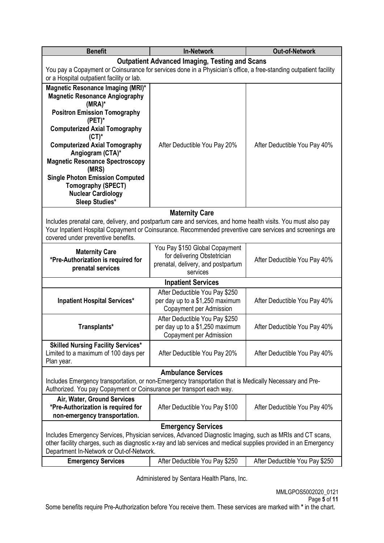| <b>Benefit</b>                                                                                                                                                                                                                                                                                       | <b>Out-of-Network</b>                                                                                           |                                |  |  |
|------------------------------------------------------------------------------------------------------------------------------------------------------------------------------------------------------------------------------------------------------------------------------------------------------|-----------------------------------------------------------------------------------------------------------------|--------------------------------|--|--|
|                                                                                                                                                                                                                                                                                                      | <b>Outpatient Advanced Imaging, Testing and Scans</b>                                                           |                                |  |  |
| You pay a Copayment or Coinsurance for services done in a Physician's office, a free-standing outpatient facility                                                                                                                                                                                    |                                                                                                                 |                                |  |  |
| or a Hospital outpatient facility or lab.                                                                                                                                                                                                                                                            |                                                                                                                 |                                |  |  |
| Magnetic Resonance Imaging (MRI)*<br><b>Magnetic Resonance Angiography</b><br>$(MRA)^*$                                                                                                                                                                                                              |                                                                                                                 |                                |  |  |
| <b>Positron Emission Tomography</b><br>$(PET)^*$                                                                                                                                                                                                                                                     |                                                                                                                 |                                |  |  |
| <b>Computerized Axial Tomography</b><br>$(CT)^*$                                                                                                                                                                                                                                                     |                                                                                                                 |                                |  |  |
| <b>Computerized Axial Tomography</b><br>Angiogram (CTA)*                                                                                                                                                                                                                                             | After Deductible You Pay 20%                                                                                    | After Deductible You Pay 40%   |  |  |
| <b>Magnetic Resonance Spectroscopy</b><br>(MRS)                                                                                                                                                                                                                                                      |                                                                                                                 |                                |  |  |
| <b>Single Photon Emission Computed</b><br><b>Tomography (SPECT)</b><br><b>Nuclear Cardiology</b><br><b>Sleep Studies*</b>                                                                                                                                                                            |                                                                                                                 |                                |  |  |
|                                                                                                                                                                                                                                                                                                      | <b>Maternity Care</b>                                                                                           |                                |  |  |
| Includes prenatal care, delivery, and postpartum care and services, and home health visits. You must also pay<br>Your Inpatient Hospital Copayment or Coinsurance. Recommended preventive care services and screenings are<br>covered under preventive benefits.                                     |                                                                                                                 |                                |  |  |
| <b>Maternity Care</b><br>*Pre-Authorization is required for<br>prenatal services                                                                                                                                                                                                                     | You Pay \$150 Global Copayment<br>for delivering Obstetrician<br>prenatal, delivery, and postpartum<br>services | After Deductible You Pay 40%   |  |  |
| <b>Inpatient Services</b>                                                                                                                                                                                                                                                                            |                                                                                                                 |                                |  |  |
|                                                                                                                                                                                                                                                                                                      | After Deductible You Pay \$250                                                                                  |                                |  |  |
| <b>Inpatient Hospital Services*</b>                                                                                                                                                                                                                                                                  | per day up to a \$1,250 maximum<br>Copayment per Admission                                                      | After Deductible You Pay 40%   |  |  |
| Transplants*                                                                                                                                                                                                                                                                                         | After Deductible You Pay \$250<br>per day up to a \$1,250 maximum<br><b>Copayment per Admission</b>             | After Deductible You Pay 40%   |  |  |
| <b>Skilled Nursing Facility Services*</b><br>Limited to a maximum of 100 days per<br>Plan year.                                                                                                                                                                                                      | After Deductible You Pay 20%                                                                                    | After Deductible You Pay 40%   |  |  |
|                                                                                                                                                                                                                                                                                                      | <b>Ambulance Services</b>                                                                                       |                                |  |  |
| Includes Emergency transportation, or non-Emergency transportation that is Medically Necessary and Pre-<br>Authorized. You pay Copayment or Coinsurance per transport each way.                                                                                                                      |                                                                                                                 |                                |  |  |
| Air, Water, Ground Services<br>*Pre-Authorization is required for<br>non-emergency transportation.                                                                                                                                                                                                   | After Deductible You Pay \$100                                                                                  | After Deductible You Pay 40%   |  |  |
| <b>Emergency Services</b><br>Includes Emergency Services, Physician services, Advanced Diagnostic Imaging, such as MRIs and CT scans,<br>other facility charges, such as diagnostic x-ray and lab services and medical supplies provided in an Emergency<br>Department In-Network or Out-of-Network. |                                                                                                                 |                                |  |  |
| <b>Emergency Services</b>                                                                                                                                                                                                                                                                            | After Deductible You Pay \$250                                                                                  | After Deductible You Pay \$250 |  |  |
|                                                                                                                                                                                                                                                                                                      |                                                                                                                 |                                |  |  |

Some benefits require Pre-Authorization before You receive them. These services are marked with **\*** in the chart.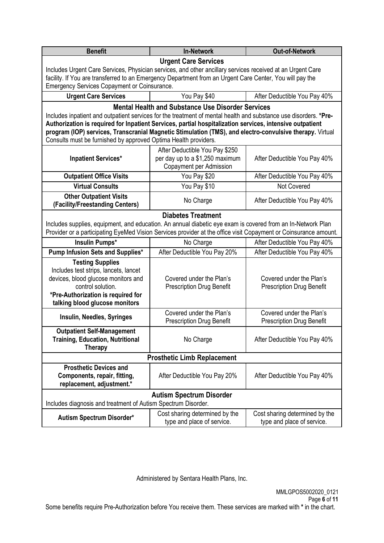| <b>Benefit</b>                                                                                                                                                                                                                                                                                                                                                                                              | <b>In-Network</b>                                                                            | <b>Out-of-Network</b>                                        |  |  |  |
|-------------------------------------------------------------------------------------------------------------------------------------------------------------------------------------------------------------------------------------------------------------------------------------------------------------------------------------------------------------------------------------------------------------|----------------------------------------------------------------------------------------------|--------------------------------------------------------------|--|--|--|
| <b>Urgent Care Services</b>                                                                                                                                                                                                                                                                                                                                                                                 |                                                                                              |                                                              |  |  |  |
| Includes Urgent Care Services, Physician services, and other ancillary services received at an Urgent Care<br>facility. If You are transferred to an Emergency Department from an Urgent Care Center, You will pay the                                                                                                                                                                                      |                                                                                              |                                                              |  |  |  |
| Emergency Services Copayment or Coinsurance.                                                                                                                                                                                                                                                                                                                                                                |                                                                                              |                                                              |  |  |  |
| <b>Urgent Care Services</b>                                                                                                                                                                                                                                                                                                                                                                                 | You Pay \$40                                                                                 | After Deductible You Pay 40%                                 |  |  |  |
| Includes inpatient and outpatient services for the treatment of mental health and substance use disorders. *Pre-<br>Authorization is required for Inpatient Services, partial hospitalization services, intensive outpatient<br>program (IOP) services, Transcranial Magnetic Stimulation (TMS), and electro-convulsive therapy. Virtual<br>Consults must be furnished by approved Optima Health providers. | <b>Mental Health and Substance Use Disorder Services</b>                                     |                                                              |  |  |  |
| <b>Inpatient Services*</b>                                                                                                                                                                                                                                                                                                                                                                                  | After Deductible You Pay \$250<br>per day up to a \$1,250 maximum<br>Copayment per Admission | After Deductible You Pay 40%                                 |  |  |  |
| <b>Outpatient Office Visits</b>                                                                                                                                                                                                                                                                                                                                                                             | You Pay \$20                                                                                 | After Deductible You Pay 40%                                 |  |  |  |
| <b>Virtual Consults</b>                                                                                                                                                                                                                                                                                                                                                                                     | You Pay \$10                                                                                 | Not Covered                                                  |  |  |  |
| <b>Other Outpatient Visits</b><br>(Facility/Freestanding Centers)                                                                                                                                                                                                                                                                                                                                           | No Charge                                                                                    | After Deductible You Pay 40%                                 |  |  |  |
|                                                                                                                                                                                                                                                                                                                                                                                                             | <b>Diabetes Treatment</b>                                                                    |                                                              |  |  |  |
| Includes supplies, equipment, and education. An annual diabetic eye exam is covered from an In-Network Plan<br>Provider or a participating EyeMed Vision Services provider at the office visit Copayment or Coinsurance amount.                                                                                                                                                                             |                                                                                              |                                                              |  |  |  |
| Insulin Pumps*                                                                                                                                                                                                                                                                                                                                                                                              | After Deductible You Pay 40%<br>No Charge                                                    |                                                              |  |  |  |
| Pump Infusion Sets and Supplies*<br>After Deductible You Pay 20%<br>After Deductible You Pay 40%                                                                                                                                                                                                                                                                                                            |                                                                                              |                                                              |  |  |  |
| <b>Testing Supplies</b><br>Includes test strips, lancets, lancet<br>devices, blood glucose monitors and<br>Covered under the Plan's<br>Covered under the Plan's<br>control solution.<br><b>Prescription Drug Benefit</b><br><b>Prescription Drug Benefit</b><br>*Pre-Authorization is required for<br>talking blood glucose monitors                                                                        |                                                                                              |                                                              |  |  |  |
| Insulin, Needles, Syringes                                                                                                                                                                                                                                                                                                                                                                                  | Covered under the Plan's<br><b>Prescription Drug Benefit</b>                                 | Covered under the Plan's<br><b>Prescription Drug Benefit</b> |  |  |  |
| <b>Outpatient Self-Management</b><br><b>Training, Education, Nutritional</b><br>No Charge<br>After Deductible You Pay 40%<br><b>Therapy</b>                                                                                                                                                                                                                                                                 |                                                                                              |                                                              |  |  |  |
|                                                                                                                                                                                                                                                                                                                                                                                                             | <b>Prosthetic Limb Replacement</b>                                                           |                                                              |  |  |  |
| <b>Prosthetic Devices and</b><br>Components, repair, fitting,<br>replacement, adjustment.*                                                                                                                                                                                                                                                                                                                  | After Deductible You Pay 20%                                                                 | After Deductible You Pay 40%                                 |  |  |  |
|                                                                                                                                                                                                                                                                                                                                                                                                             | <b>Autism Spectrum Disorder</b>                                                              |                                                              |  |  |  |
| Includes diagnosis and treatment of Autism Spectrum Disorder.                                                                                                                                                                                                                                                                                                                                               |                                                                                              |                                                              |  |  |  |
| Cost sharing determined by the<br>Cost sharing determined by the<br><b>Autism Spectrum Disorder*</b><br>type and place of service.<br>type and place of service.                                                                                                                                                                                                                                            |                                                                                              |                                                              |  |  |  |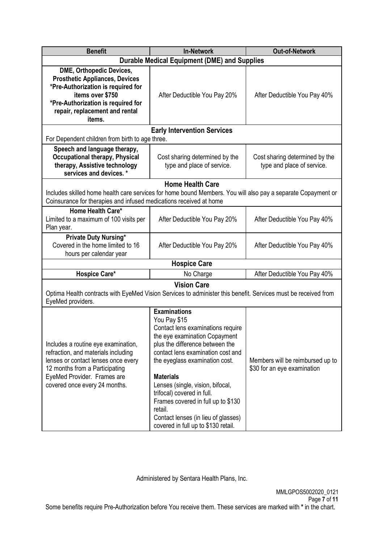| <b>Benefit</b>                                                                                                                                                                                                       | <b>Out-of-Network</b>                                                                                                                                                                                                                                                                                                                                                                                                                    |                                                                 |
|----------------------------------------------------------------------------------------------------------------------------------------------------------------------------------------------------------------------|------------------------------------------------------------------------------------------------------------------------------------------------------------------------------------------------------------------------------------------------------------------------------------------------------------------------------------------------------------------------------------------------------------------------------------------|-----------------------------------------------------------------|
|                                                                                                                                                                                                                      | <b>Durable Medical Equipment (DME) and Supplies</b>                                                                                                                                                                                                                                                                                                                                                                                      |                                                                 |
| <b>DME, Orthopedic Devices,</b><br><b>Prosthetic Appliances, Devices</b><br>*Pre-Authorization is required for<br>items over \$750<br>*Pre-Authorization is required for<br>repair, replacement and rental<br>items. | After Deductible You Pay 20%                                                                                                                                                                                                                                                                                                                                                                                                             | After Deductible You Pay 40%                                    |
|                                                                                                                                                                                                                      | <b>Early Intervention Services</b>                                                                                                                                                                                                                                                                                                                                                                                                       |                                                                 |
| For Dependent children from birth to age three.                                                                                                                                                                      |                                                                                                                                                                                                                                                                                                                                                                                                                                          |                                                                 |
| Speech and language therapy,<br><b>Occupational therapy, Physical</b><br>therapy, Assistive technology<br>services and devices. *                                                                                    | Cost sharing determined by the<br>type and place of service.                                                                                                                                                                                                                                                                                                                                                                             | Cost sharing determined by the<br>type and place of service.    |
|                                                                                                                                                                                                                      | <b>Home Health Care</b>                                                                                                                                                                                                                                                                                                                                                                                                                  |                                                                 |
| Includes skilled home health care services for home bound Members. You will also pay a separate Copayment or                                                                                                         |                                                                                                                                                                                                                                                                                                                                                                                                                                          |                                                                 |
| Coinsurance for therapies and infused medications received at home                                                                                                                                                   |                                                                                                                                                                                                                                                                                                                                                                                                                                          |                                                                 |
| Home Health Care*<br>Limited to a maximum of 100 visits per<br>Plan year.                                                                                                                                            | After Deductible You Pay 20%                                                                                                                                                                                                                                                                                                                                                                                                             | After Deductible You Pay 40%                                    |
| Private Duty Nursing*<br>Covered in the home limited to 16<br>hours per calendar year                                                                                                                                | After Deductible You Pay 20%                                                                                                                                                                                                                                                                                                                                                                                                             | After Deductible You Pay 40%                                    |
|                                                                                                                                                                                                                      | <b>Hospice Care</b>                                                                                                                                                                                                                                                                                                                                                                                                                      |                                                                 |
| Hospice Care*                                                                                                                                                                                                        | No Charge                                                                                                                                                                                                                                                                                                                                                                                                                                | After Deductible You Pay 40%                                    |
|                                                                                                                                                                                                                      | <b>Vision Care</b>                                                                                                                                                                                                                                                                                                                                                                                                                       |                                                                 |
| Optima Health contracts with EyeMed Vision Services to administer this benefit. Services must be received from<br>EyeMed providers.                                                                                  |                                                                                                                                                                                                                                                                                                                                                                                                                                          |                                                                 |
| Includes a routine eye examination,<br>refraction, and materials including<br>lenses or contact lenses once every<br>12 months from a Participating<br>EyeMed Provider. Frames are<br>covered once every 24 months.  | <b>Examinations</b><br>You Pay \$15<br>Contact lens examinations require<br>the eye examination Copayment<br>plus the difference between the<br>contact lens examination cost and<br>the eyeglass examination cost.<br><b>Materials</b><br>Lenses (single, vision, bifocal,<br>trifocal) covered in full.<br>Frames covered in full up to \$130<br>retail.<br>Contact lenses (in lieu of glasses)<br>covered in full up to \$130 retail. | Members will be reimbursed up to<br>\$30 for an eye examination |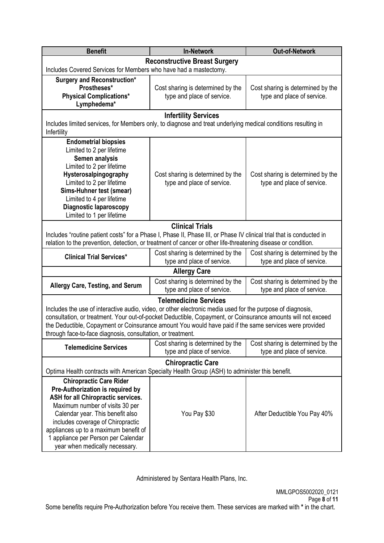| <b>Benefit</b><br><b>In-Network</b><br><b>Out-of-Network</b>                                                                                                                                                                                                                                                                                                                                                               |                                                                 |                                                                 |  |  |  |
|----------------------------------------------------------------------------------------------------------------------------------------------------------------------------------------------------------------------------------------------------------------------------------------------------------------------------------------------------------------------------------------------------------------------------|-----------------------------------------------------------------|-----------------------------------------------------------------|--|--|--|
|                                                                                                                                                                                                                                                                                                                                                                                                                            | <b>Reconstructive Breast Surgery</b>                            |                                                                 |  |  |  |
| Includes Covered Services for Members who have had a mastectomy.                                                                                                                                                                                                                                                                                                                                                           |                                                                 |                                                                 |  |  |  |
| <b>Surgery and Reconstruction*</b><br>Prostheses*<br><b>Physical Complications*</b><br>Lymphedema*                                                                                                                                                                                                                                                                                                                         | Cost sharing is determined by the<br>type and place of service. | Cost sharing is determined by the<br>type and place of service. |  |  |  |
|                                                                                                                                                                                                                                                                                                                                                                                                                            | <b>Infertility Services</b>                                     |                                                                 |  |  |  |
| Includes limited services, for Members only, to diagnose and treat underlying medical conditions resulting in<br>Infertility                                                                                                                                                                                                                                                                                               |                                                                 |                                                                 |  |  |  |
| <b>Endometrial biopsies</b><br>Limited to 2 per lifetime<br>Semen analysis<br>Limited to 2 per lifetime<br>Hysterosalpingography<br>Cost sharing is determined by the<br>Cost sharing is determined by the<br>Limited to 2 per lifetime<br>type and place of service.<br>type and place of service.<br>Sims-Huhner test (smear)<br>Limited to 4 per lifetime<br><b>Diagnostic laparoscopy</b><br>Limited to 1 per lifetime |                                                                 |                                                                 |  |  |  |
| Includes "routine patient costs" for a Phase I, Phase II, Phase III, or Phase IV clinical trial that is conducted in                                                                                                                                                                                                                                                                                                       | <b>Clinical Trials</b>                                          |                                                                 |  |  |  |
| relation to the prevention, detection, or treatment of cancer or other life-threatening disease or condition.                                                                                                                                                                                                                                                                                                              |                                                                 |                                                                 |  |  |  |
| <b>Clinical Trial Services*</b>                                                                                                                                                                                                                                                                                                                                                                                            | Cost sharing is determined by the<br>type and place of service. | Cost sharing is determined by the<br>type and place of service. |  |  |  |
|                                                                                                                                                                                                                                                                                                                                                                                                                            | <b>Allergy Care</b>                                             |                                                                 |  |  |  |
| <b>Allergy Care, Testing, and Serum</b>                                                                                                                                                                                                                                                                                                                                                                                    | Cost sharing is determined by the<br>type and place of service. | Cost sharing is determined by the<br>type and place of service. |  |  |  |
| <b>Telemedicine Services</b>                                                                                                                                                                                                                                                                                                                                                                                               |                                                                 |                                                                 |  |  |  |
| Includes the use of interactive audio, video, or other electronic media used for the purpose of diagnosis,<br>consultation, or treatment. Your out-of-pocket Deductible, Copayment, or Coinsurance amounts will not exceed<br>the Deductible, Copayment or Coinsurance amount You would have paid if the same services were provided<br>through face-to-face diagnosis, consultation, or treatment.                        |                                                                 |                                                                 |  |  |  |
| <b>Telemedicine Services</b>                                                                                                                                                                                                                                                                                                                                                                                               | Cost sharing is determined by the<br>type and place of service. | Cost sharing is determined by the<br>type and place of service. |  |  |  |
|                                                                                                                                                                                                                                                                                                                                                                                                                            | <b>Chiropractic Care</b>                                        |                                                                 |  |  |  |
| Optima Health contracts with American Specialty Health Group (ASH) to administer this benefit.                                                                                                                                                                                                                                                                                                                             |                                                                 |                                                                 |  |  |  |
| <b>Chiropractic Care Rider</b><br>Pre-Authorization is required by<br>ASH for all Chiropractic services.<br>Maximum number of visits 30 per<br>Calendar year. This benefit also<br>includes coverage of Chiropractic<br>appliances up to a maximum benefit of<br>1 appliance per Person per Calendar<br>year when medically necessary.                                                                                     | You Pay \$30                                                    | After Deductible You Pay 40%                                    |  |  |  |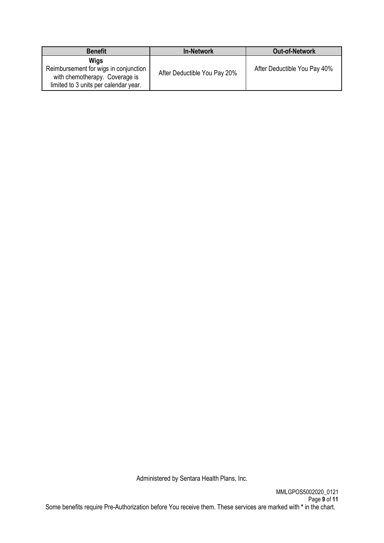| <b>Benefit</b>                                                                                                                  | <b>In-Network</b>            | <b>Out-of-Network</b>        |
|---------------------------------------------------------------------------------------------------------------------------------|------------------------------|------------------------------|
| <b>Wigs</b><br>Reimbursement for wigs in conjunction<br>with chemotherapy. Coverage is<br>limited to 3 units per calendar year. | After Deductible You Pay 20% | After Deductible You Pay 40% |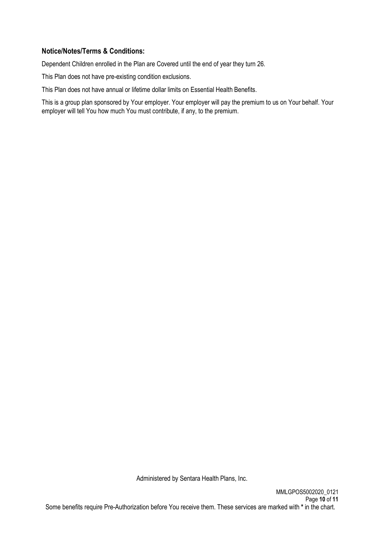## **Notice/Notes/Terms & Conditions:**

Dependent Children enrolled in the Plan are Covered until the end of year they turn 26.

This Plan does not have pre-existing condition exclusions.

This Plan does not have annual or lifetime dollar limits on Essential Health Benefits.

This is a group plan sponsored by Your employer. Your employer will pay the premium to us on Your behalf. Your employer will tell You how much You must contribute, if any, to the premium.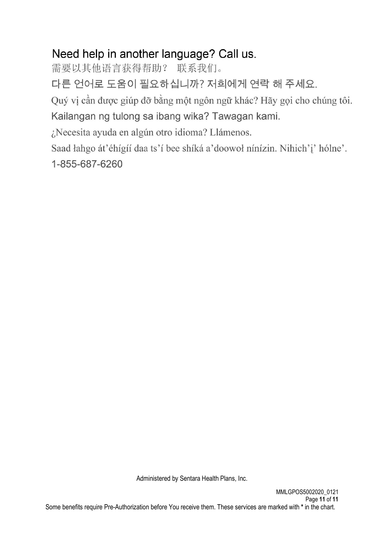# Need help in another language? Call us.

需要以其他语言获得帮助? 联系我们。

다른 언어로 도움이 필요하십니까? 저희에게 연락 해 주세요.

Quý vị cần được giúp đỡ bằng một ngôn ngữ khác? Hãy gọi cho chúng tôi.

Kailangan ng tulong sa ibang wika? Tawagan kami.

¿Necesita ayuda en algún otro idioma? Llámenos.

Saad łahgo át'éhígíí daa ts'í bee shíká a'doowoł nínízin. Nihich'i' hólne'.

1-855-687-6260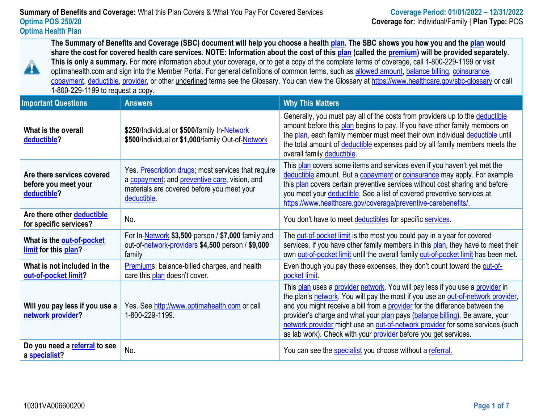**The Summary of Benefits and Coverage (SBC) document will help you choose a health [plan.](https://www.healthcare.gov/sbc-glossary/#plan) The SBC shows you how you and the [plan](https://www.healthcare.gov/sbc-glossary/#plan) would share the cost for covered health care services. NOTE: Information about the cost of this [plan](https://www.healthcare.gov/sbc-glossary/#plan) (called the [premium\)](https://www.healthcare.gov/sbc-glossary/#premium) will be provided separately. This is only a summary.** For more information about your coverage, or to get a copy of the complete terms of coverage, call 1-800-229-1199 or visit optimahealth.com and sign into the Member Portal. For general definitions of common terms, such as [allowed amount,](https://www.healthcare.gov/sbc-glossary/#allowed-amount) [balance billing,](https://www.healthcare.gov/sbc-glossary/#balance-billing) coinsurance, [copayment,](https://www.healthcare.gov/sbc-glossary/#copayment) [deductible,](https://www.healthcare.gov/sbc-glossary/#deductible) [provider,](https://www.healthcare.gov/sbc-glossary/#provider) or other underlined terms see the Glossary. You can view the Glossary at [https://www.healthcare.gov/sbc-glossary](https://www.healthcare.gov/sbc-glossary%20or%20call%20%201-800-229-1199) or call 1-800-229-1199 to request a copy.

| <b>Important Questions</b>                                        | <b>Answers</b>                                                                                                                                                    | <b>Why This Matters</b>                                                                                                                                                                                                                                                                                                                                                                                                                                                             |
|-------------------------------------------------------------------|-------------------------------------------------------------------------------------------------------------------------------------------------------------------|-------------------------------------------------------------------------------------------------------------------------------------------------------------------------------------------------------------------------------------------------------------------------------------------------------------------------------------------------------------------------------------------------------------------------------------------------------------------------------------|
| What is the overall<br>deductible?                                | \$250/Individual or \$500/family In-Network<br>\$500/Individual or \$1,000/family Out-of-Network                                                                  | Generally, you must pay all of the costs from providers up to the deductible<br>amount before this plan begins to pay. If you have other family members on<br>the plan, each family member must meet their own individual deductible until<br>the total amount of deductible expenses paid by all family members meets the<br>overall family deductible.                                                                                                                            |
| Are there services covered<br>before you meet your<br>deductible? | Yes. Prescription drugs; most services that require<br>a copayment; and preventive care, vision, and<br>materials are covered before you meet your<br>deductible. | This plan covers some items and services even if you haven't yet met the<br>deductible amount. But a copayment or coinsurance may apply. For example<br>this plan covers certain preventive services without cost sharing and before<br>you meet your deductible. See a list of covered preventive services at<br>https://www.healthcare.gov/coverage/preventive-carebenefits/                                                                                                      |
| Are there other deductible<br>for specific services?              | No.                                                                                                                                                               | You don't have to meet deductibles for specific services.                                                                                                                                                                                                                                                                                                                                                                                                                           |
| What is the out-of-pocket<br>limit for this plan?                 | For In-Network \$3,500 person / \$7,000 family and<br>out-of-network-providers \$4,500 person / \$9,000<br>family                                                 | The out-of-pocket limit is the most you could pay in a year for covered<br>services. If you have other family members in this plan, they have to meet their<br>own out-of-pocket limit until the overall family out-of-pocket limit has been met.                                                                                                                                                                                                                                   |
| What is not included in the<br>out-of-pocket limit?               | Premiums, balance-billed charges, and health<br>care this plan doesn't cover.                                                                                     | Even though you pay these expenses, they don't count toward the out-of-<br>pocket limit                                                                                                                                                                                                                                                                                                                                                                                             |
| Will you pay less if you use a<br>network provider?               | Yes. See http://www.optimahealth.com or call<br>1-800-229-1199.                                                                                                   | This plan uses a provider network. You will pay less if you use a provider in<br>the plan's network. You will pay the most if you use an out-of-network provider,<br>and you might receive a bill from a provider for the difference between the<br>provider's charge and what your plan pays (balance billing). Be aware, your<br>network provider might use an out-of-network provider for some services (such<br>as lab work). Check with your provider before you get services. |
| Do you need a referral to see<br>a specialist?                    | No.                                                                                                                                                               | You can see the specialist you choose without a referral.                                                                                                                                                                                                                                                                                                                                                                                                                           |

A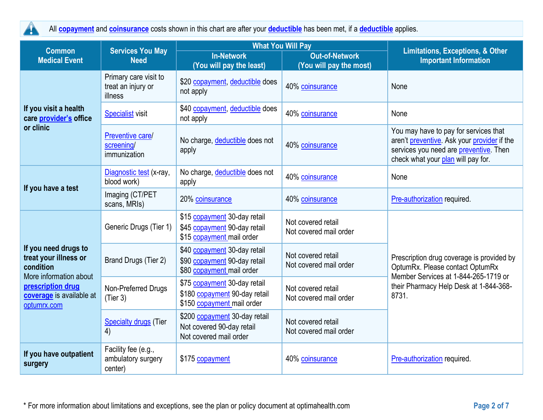$\blacktriangle$ All **[copayment](https://www.healthcare.gov/sbc-glossary/#copayment)** and **[coinsurance](https://www.healthcare.gov/sbc-glossary/#coinsurance)** costs shown in this chart are after your **[deductible](https://www.healthcare.gov/sbc-glossary/#deductible)** has been met, if a **[deductible](https://www.healthcare.gov/sbc-glossary/#deductible)** applies.

| <b>Common</b>                                                                                                                                        | <b>Services You May</b>                                | <b>What You Will Pay</b>                                                                    |                                              | Limitations, Exceptions, & Other                                                                                                                                        |
|------------------------------------------------------------------------------------------------------------------------------------------------------|--------------------------------------------------------|---------------------------------------------------------------------------------------------|----------------------------------------------|-------------------------------------------------------------------------------------------------------------------------------------------------------------------------|
| <b>Medical Event</b>                                                                                                                                 | <b>Need</b>                                            | <b>In-Network</b>                                                                           | <b>Out-of-Network</b>                        | <b>Important Information</b>                                                                                                                                            |
|                                                                                                                                                      |                                                        | (You will pay the least)                                                                    | (You will pay the most)                      |                                                                                                                                                                         |
|                                                                                                                                                      | Primary care visit to<br>treat an injury or<br>illness | \$20 copayment, deductible does<br>not apply                                                | 40% coinsurance                              | None                                                                                                                                                                    |
| If you visit a health<br>care provider's office                                                                                                      | <b>Specialist visit</b>                                | \$40 copayment, deductible does<br>not apply                                                | 40% coinsurance                              | None                                                                                                                                                                    |
| or clinic                                                                                                                                            | Preventive care/<br>screening/<br>immunization         | No charge, deductible does not<br>apply                                                     | 40% coinsurance                              | You may have to pay for services that<br>aren't preventive. Ask your provider if the<br>services you need are preventive. Then<br>check what your plan will pay for.    |
|                                                                                                                                                      | Diagnostic test (x-ray,<br>blood work)                 | No charge, deductible does not<br>apply                                                     | 40% coinsurance                              | None                                                                                                                                                                    |
| If you have a test<br>Imaging (CT/PET<br>scans, MRIs)                                                                                                |                                                        | 20% coinsurance                                                                             | 40% coinsurance                              | Pre-authorization required.                                                                                                                                             |
| If you need drugs to<br>treat your illness or<br>condition<br>More information about<br>prescription drug<br>coverage is available at<br>optumrx.com | Generic Drugs (Tier 1)                                 | \$15 copayment 30-day retail<br>\$45 copayment 90-day retail<br>\$15 copayment mail order   | Not covered retail<br>Not covered mail order | Prescription drug coverage is provided by<br>OptumRx. Please contact OptumRx<br>Member Services at 1-844-265-1719 or<br>their Pharmacy Help Desk at 1-844-368-<br>8731. |
|                                                                                                                                                      | Brand Drugs (Tier 2)                                   | \$40 copayment 30-day retail<br>\$90 copayment 90-day retail<br>\$80 copayment mail order   | Not covered retail<br>Not covered mail order |                                                                                                                                                                         |
|                                                                                                                                                      | Non-Preferred Drugs<br>(Tier 3)                        | \$75 copayment 30-day retail<br>\$180 copayment 90-day retail<br>\$150 copayment mail order | Not covered retail<br>Not covered mail order |                                                                                                                                                                         |
|                                                                                                                                                      | <b>Specialty drugs (Tier</b><br>4)                     | \$200 copayment 30-day retail<br>Not covered 90-day retail<br>Not covered mail order        | Not covered retail<br>Not covered mail order |                                                                                                                                                                         |
| If you have outpatient<br>surgery                                                                                                                    | Facility fee (e.g.,<br>ambulatory surgery<br>center)   | \$175 copayment                                                                             | 40% coinsurance                              | Pre-authorization required.                                                                                                                                             |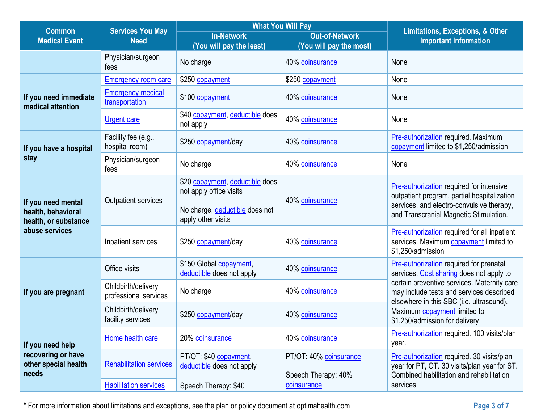| <b>Common</b>                                                    | <b>Services You May</b>                      | <b>What You Will Pay</b>                                                                                           |                                                  | <b>Limitations, Exceptions, &amp; Other</b>                                                                                                                                                           |
|------------------------------------------------------------------|----------------------------------------------|--------------------------------------------------------------------------------------------------------------------|--------------------------------------------------|-------------------------------------------------------------------------------------------------------------------------------------------------------------------------------------------------------|
| <b>Medical Event</b>                                             | <b>Need</b>                                  | <b>In-Network</b><br>(You will pay the least)                                                                      | <b>Out-of-Network</b><br>(You will pay the most) | <b>Important Information</b>                                                                                                                                                                          |
|                                                                  | Physician/surgeon<br>fees                    | No charge                                                                                                          | 40% coinsurance                                  | None                                                                                                                                                                                                  |
|                                                                  | <b>Emergency room care</b>                   | \$250 copayment                                                                                                    | \$250 copayment                                  | None                                                                                                                                                                                                  |
| If you need immediate<br>medical attention                       | <b>Emergency medical</b><br>transportation   | \$100 copayment                                                                                                    | 40% coinsurance                                  | None                                                                                                                                                                                                  |
|                                                                  | <b>Urgent care</b>                           | \$40 copayment, deductible does<br>not apply                                                                       | 40% coinsurance                                  | None                                                                                                                                                                                                  |
| If you have a hospital                                           | Facility fee (e.g.,<br>hospital room)        | \$250 copayment/day                                                                                                | 40% coinsurance                                  | Pre-authorization required. Maximum<br>copayment limited to \$1,250/admission                                                                                                                         |
| stay                                                             | Physician/surgeon<br>fees                    | No charge                                                                                                          | 40% coinsurance                                  | None                                                                                                                                                                                                  |
| If you need mental<br>health, behavioral<br>health, or substance | <b>Outpatient services</b>                   | \$20 copayment, deductible does<br>not apply office visits<br>No charge, deductible does not<br>apply other visits | 40% coinsurance                                  | Pre-authorization required for intensive<br>outpatient program, partial hospitalization<br>services, and electro-convulsive therapy,<br>and Transcranial Magnetic Stimulation.                        |
| abuse services                                                   | Inpatient services                           | \$250 copayment/day                                                                                                | 40% coinsurance                                  | Pre-authorization required for all inpatient<br>services. Maximum <b>copayment</b> limited to<br>\$1,250/admission                                                                                    |
|                                                                  | Office visits                                | \$150 Global copayment,<br>deductible does not apply                                                               | 40% coinsurance                                  | Pre-authorization required for prenatal<br>services. Cost sharing does not apply to                                                                                                                   |
| If you are pregnant                                              | Childbirth/delivery<br>professional services | No charge                                                                                                          | 40% coinsurance                                  | certain preventive services. Maternity care<br>may include tests and services described<br>elsewhere in this SBC (i.e. ultrasound).<br>Maximum copayment limited to<br>\$1,250/admission for delivery |
|                                                                  | Childbirth/delivery<br>facility services     | \$250 copayment/day                                                                                                | 40% coinsurance                                  |                                                                                                                                                                                                       |
| If you need help                                                 | Home health care                             | 20% coinsurance                                                                                                    | 40% coinsurance                                  | Pre-authorization required. 100 visits/plan<br>year.                                                                                                                                                  |
| recovering or have<br>other special health<br>needs              | <b>Rehabilitation services</b>               | PT/OT: \$40 copayment,<br>deductible does not apply                                                                | PT/OT: 40% coinsurance<br>Speech Therapy: 40%    | Pre-authorization required. 30 visits/plan<br>year for PT, OT. 30 visits/plan year for ST.<br>Combined habilitation and rehabilitation                                                                |
|                                                                  | <b>Habilitation services</b>                 | Speech Therapy: \$40                                                                                               | coinsurance                                      | services                                                                                                                                                                                              |

\* For more information about limitations and exceptions, see the plan or policy document at optimahealth.com **Page 3 of 7**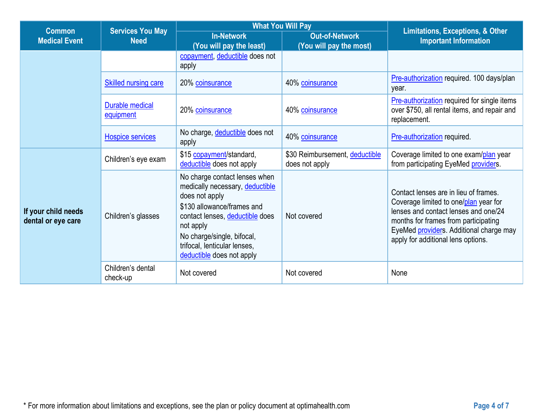| <b>Common</b>                             | <b>Services You May</b>       | <b>What You Will Pay</b>                                                                                                                                                                                                                                    |                                                  |                                                                                                                                                                                                                                                 |
|-------------------------------------------|-------------------------------|-------------------------------------------------------------------------------------------------------------------------------------------------------------------------------------------------------------------------------------------------------------|--------------------------------------------------|-------------------------------------------------------------------------------------------------------------------------------------------------------------------------------------------------------------------------------------------------|
| <b>Medical Event</b>                      | <b>Need</b>                   | <b>In-Network</b><br>(You will pay the least)                                                                                                                                                                                                               | <b>Out-of-Network</b><br>(You will pay the most) | <b>Limitations, Exceptions, &amp; Other</b><br><b>Important Information</b>                                                                                                                                                                     |
|                                           |                               | copayment, deductible does not<br>apply                                                                                                                                                                                                                     |                                                  |                                                                                                                                                                                                                                                 |
|                                           | Skilled nursing care          | 20% coinsurance                                                                                                                                                                                                                                             | 40% coinsurance                                  | Pre-authorization required. 100 days/plan<br>year.                                                                                                                                                                                              |
|                                           | Durable medical<br>equipment  | 20% coinsurance                                                                                                                                                                                                                                             | 40% coinsurance                                  | <b>Pre-authorization required for single items</b><br>over \$750, all rental items, and repair and<br>replacement.                                                                                                                              |
|                                           | <b>Hospice services</b>       | No charge, deductible does not<br>apply                                                                                                                                                                                                                     | 40% coinsurance                                  | Pre-authorization required.                                                                                                                                                                                                                     |
|                                           | Children's eye exam           | \$15 copayment/standard,<br>deductible does not apply                                                                                                                                                                                                       | \$30 Reimbursement, deductible<br>does not apply | Coverage limited to one exam/plan year<br>from participating EyeMed providers.                                                                                                                                                                  |
| If your child needs<br>dental or eye care | Children's glasses            | No charge contact lenses when<br>medically necessary, deductible<br>does not apply<br>\$130 allowance/frames and<br>contact lenses, deductible does<br>not apply<br>No charge/single, bifocal,<br>trifocal, lenticular lenses,<br>deductible does not apply | Not covered                                      | Contact lenses are in lieu of frames.<br>Coverage limited to one/plan year for<br>lenses and contact lenses and one/24<br>months for frames from participating<br>EyeMed providers. Additional charge may<br>apply for additional lens options. |
|                                           | Children's dental<br>check-up | Not covered                                                                                                                                                                                                                                                 | Not covered                                      | None                                                                                                                                                                                                                                            |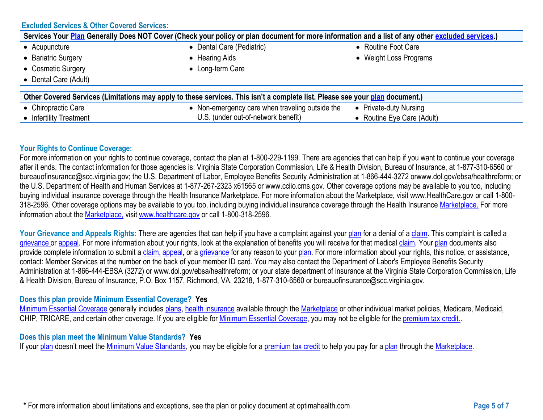#### **Excluded Services & Other Covered Services:**

| Services Your Plan Generally Does NOT Cover (Check your policy or plan document for more information and a list of any other excluded services.) |                                                 |                            |  |  |  |  |
|--------------------------------------------------------------------------------------------------------------------------------------------------|-------------------------------------------------|----------------------------|--|--|--|--|
| • Acupuncture                                                                                                                                    | • Dental Care (Pediatric)                       | • Routine Foot Care        |  |  |  |  |
| Bariatric Surgery                                                                                                                                | • Hearing Aids                                  | • Weight Loss Programs     |  |  |  |  |
| • Cosmetic Surgery                                                                                                                               | • Long-term Care                                |                            |  |  |  |  |
| • Dental Care (Adult)                                                                                                                            |                                                 |                            |  |  |  |  |
| Other Covered Services (Limitations may apply to these services. This isn't a complete list. Please see your plan document.)                     |                                                 |                            |  |  |  |  |
| • Chiropractic Care                                                                                                                              | • Non-emergency care when traveling outside the | • Private-duty Nursing     |  |  |  |  |
| • Infertility Treatment                                                                                                                          | U.S. (under out-of-network benefit)             | • Routine Eye Care (Adult) |  |  |  |  |

#### **Your Rights to Continue Coverage:**

For more information on your rights to continue coverage, contact the plan at 1-800-229-1199. There are agencies that can help if you want to continue your coverage after it ends. The contact information for those agencies is: Virginia State Corporation Commission, Life & Health Division, Bureau of Insurance, at 1-877-310-6560 or bureauofinsurance@scc.virginia.gov; the U.S. Department of Labor, Employee Benefits Security Administration at 1-866-444-3272 orwww.dol.gov/ebsa/healthreform; or the U.S. Department of Health and Human Services at 1-877-267-2323 x61565 or www.cciio.cms.gov. Other coverage options may be available to you too, including buying individual insurance coverage through the Health Insurance Marketplace. For more information about the Marketplace, visit www.HealthCare.gov or call 1-800- 318-2596. Other coverage options may be available to you too, including buying individual insurance coverage through the Health Insurance [Marketplace.](https://www.healthcare.gov/sbc-glossary/#plan) For more information about the [Marketplace,](https://www.healthcare.gov/sbc-glossary/#Market%20place) visit [www.healthcare.gov](https://www.healthcare.gov/sbc-glossary/#plan) or call 1-800-318-2596.

Your Grievance and Appeals Rights: There are agencies that can help if you have a complaint against your [plan](https://www.healthcare.gov/sbc-glossary/#plan) for a denial of a [claim.](https://www.healthcare.gov/sbc-glossary/#claim) This complaint is called a [grievance](https://www.healthcare.gov/sbc-glossary/#grievance) or [appeal.](https://www.healthcare.gov/sbc-glossary/#appeal) For more information about your rights, look at the explanation of benefits you will receive for that medical [claim.](https://www.healthcare.gov/sbc-glossary/#claim) Your [plan](https://www.healthcare.gov/sbc-glossary/#plan) documents also provide complete information to submit a [claim,](https://www.healthcare.gov/sbc-glossary/#claim) [appeal,](https://www.healthcare.gov/sbc-glossary/#appeal) or a [grievance](https://www.healthcare.gov/sbc-glossary/#grievance) for any reason to your [plan.](https://www.healthcare.gov/sbc-glossary/#plan) For more information about your rights, this notice, or assistance, contact: Member Services at the number on the back of your member ID card. You may also contact the Department of Labor's Employee Benefits Security Administration at 1-866-444-EBSA (3272) or www.dol.gov/ebsa/healthreform; or your state department of insurance at the Virginia State Corporation Commission, Life & Health Division, Bureau of Insurance, P.O. Box 1157, Richmond, VA, 23218, 1-877-310-6560 or bureauofinsurance@scc.virginia.gov.

#### **Does this plan provide Minimum Essential Coverage? Yes**

[Minimum Essential Coverage](https://www.healthcare.gov/sbc-glossary/#minimum-essential-coverage) generally includes [plans,](https://www.healthcare.gov/sbc-glossary/#plan) [health insurance](https://www.healthcare.gov/sbc-glossary/#health-insurance) available through the [Marketplace](https://www.healthcare.gov/sbc-glossary/#marketplace) or other individual market policies, Medicare, Medicaid, CHIP, TRICARE, and certain other coverage. If you are eligible for [Minimum Essential Coverage,](https://www.healthcare.gov/sbc-glossary/#minimum-essential-coverage) you may not be eligible for the [premium tax credit..](https://www.healthcare.gov/sbc-glossary/#premium-tax-credits)

#### **Does this plan meet the Minimum Value Standards? Yes**

If your [plan](https://www.healthcare.gov/sbc-glossary/#plan) doesn't meet the [Minimum Value Standards,](https://www.healthcare.gov/sbc-glossary/#minimum-value-standard) you may be eligible for a [premium tax credit](https://www.healthcare.gov/sbc-glossary/#premium-tax-credits) to help you pay for a plan through the [Marketplace.](https://www.healthcare.gov/sbc-glossary/#marketplace)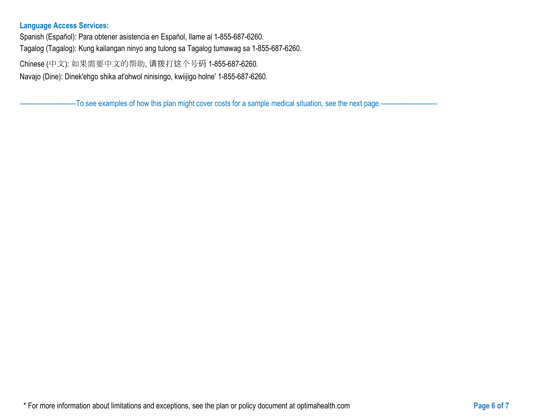## **Language Access Services:**

Spanish (Español): Para obtener asistencia en Español, llame al 1-855-687-6260. Tagalog (Tagalog): Kung kailangan ninyo ang tulong sa Tagalog tumawag sa 1-855-687-6260.

Chinese (中文): 如果需要中文的帮助, 请拨打这个号码 1-855-687-6260.

Navajo (Dine): Dinek'ehgo shika at'ohwol ninisingo, kwiijigo holne' 1-855-687-6260.

–To see examples of how this plan might cover costs for a sample medical situation, see the next page.–